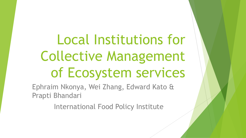Local Institutions for Collective Management of Ecosystem services

Ephraim Nkonya, Wei Zhang, Edward Kato & Prapti Bhandari

International Food Policy Institute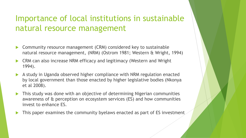#### Importance of local institutions in sustainable natural resource management

- Community resource management (CRM) considered key to sustainable natural resource management, (NRM) (Ostrom 1981; Western & Wright, 1994)
- CRM can also increase NRM efficacy and legitimacy (Western and Wright 1994).
- A study in Uganda observed higher compliance with NRM regulation enacted by local government than those enacted by higher legislative bodies (Nkonya et al 2008).
- This study was done with an objective of determining Nigerian communities awareness of & perception on ecosystem services (ES) and how communities invest to enhance ES.
- This paper examines the community byelaws enacted as part of ES investment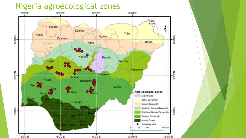#### Nigeria agroecological zones

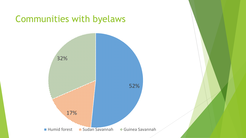### Communities with byelaws

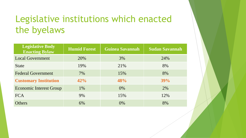# Legislative institutions which enacted the byelaws

| Legislative Body<br><b>Enacting Bylaw</b> | <b>Humid Forest</b> | <b>Guinea Savannah</b> | <b>Sudan Savannah</b> |  |
|-------------------------------------------|---------------------|------------------------|-----------------------|--|
| <b>Local Government</b>                   | 20%                 | 3%                     | 24%                   |  |
| <b>State</b>                              | 19%                 | 21%                    | 8%                    |  |
| <b>Federal Government</b>                 | $7\%$               | 15%                    | 8%                    |  |
| <b>Customary Institution</b>              | 42%                 | 48%                    | 39%                   |  |
| <b>Economic Interest Group</b>            | 1%                  | $0\%$                  | 2%                    |  |
| <b>FCA</b>                                | 9%                  | 15%                    | 12%                   |  |
| <b>Others</b>                             | 6%                  | $0\%$                  | 8%                    |  |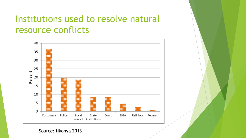## Institutions used to resolve natural resource conflicts



Source: Nkonya 2013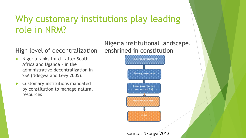# Why customary institutions play leading role in NRM?

#### High level of decentralization

- Nigeria ranks third after South Africa and Uganda – in the administrative decentralization in SSA (Ndegwa and Levy 2005).
- Customary institutions mandated by constitution to manage natural resources



Nigeria institutional landscape,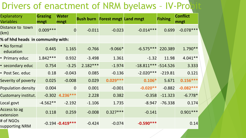# Drivers of enactment of NRM byelaws - IV-Probit

| Explanatory<br><b>Variables</b>   | <b>Grazing</b><br>mngt | <b>Water</b><br>mngt | <b>Bush burn</b> | <b>Forest mngt Land mngt</b> |                       | <b>Fishing</b> | <b>Conflict</b><br>mngt |
|-----------------------------------|------------------------|----------------------|------------------|------------------------------|-----------------------|----------------|-------------------------|
| Distance to town<br>(km)          | $0.009***$             | $\overline{0}$       | $-0.011$         | $-0.023$                     | $-0.014***$           | 0.699          | $-0.078***$             |
| % of hhd heads in community with: |                        |                      |                  |                              |                       |                |                         |
| • No formal<br>education          | 0.445                  | 1.165                | $-0.766$         | $-9.066*$                    | $-6.575***$           | 220.389        | $1.790**$               |
| • Primary educ                    | $1.842***$             | 0.932                | $-3.498$         | 1.361                        | $-1.32$               | 11.98          | $4.041**$               |
| • secondary educ                  | 0.754                  | $-3.25$              | $2.182***$       | $-1.974$                     | $-18.811***$ -514.526 |                | 3.333                   |
| • Post Sec. educ                  | 0.18                   | $-0.043$             | 0.085            | $-0.136$                     | $-2.020***$           | $-219.81$      | 0.121                   |
| Severity of poverty               | 0.025                  | $-0.008$             | 0.029            | $0.029***$                   | $0.106*$              | 5.671          | $0.156***$              |
| Population density                | 0.004                  | $\overline{0}$       | 0.001            | $-0.001$                     | $-0.020**$            | $-0.882$       | $-0.082***$             |
| Customary institut.               |                        | $-0.302$ 4.236***    | 2.228            | 0.382                        | $-0.358$              | $-11.323$      | $-6.778*$               |
| Local govt                        | $-4.562**$             | $-2.192$             | $-1.106$         | 1.735                        | $-8.947$              | $-76.338$      | 0.174                   |
| Access to ag<br>extension         | 0.118                  | 0.259                | $-0.008$         | $0.327***$                   | $-0.141$              |                | $0.901***$              |
| # of NGOs<br>supporting NRM       |                        | $-0.194 - 0.419***$  | $-0.424$         | $-0.074$                     | $-0.590***$           |                | 0.14                    |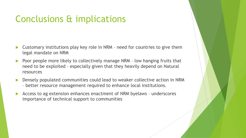## Conclusions & implications

- Customary institutions play key role in NRM need for countries to give them legal mandate on NRM
- Poor people more likely to collectively manage NRM low hanging fruits that need to be exploited – especially given that they heavily depend on Natural resources
- Densely populated communities could lead to weaker collective action in NRM – better resource management required to enhance local institutions.
- Access to ag extension enhances enactment of NRM byelaws underscores importance of technical support to communities